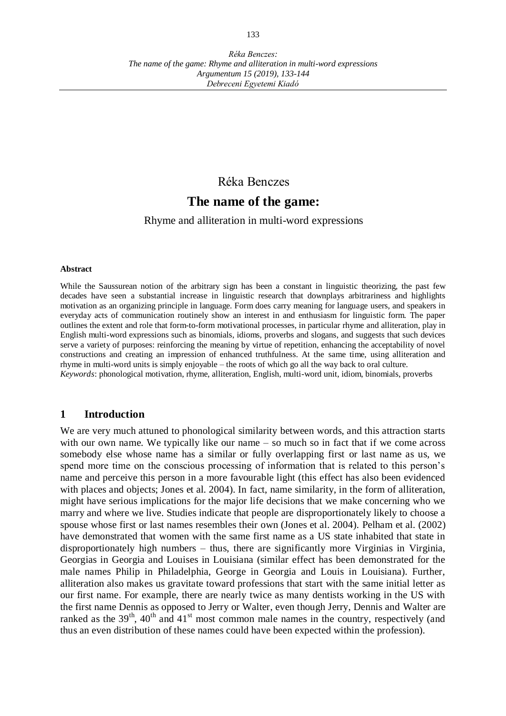# Réka Benczes

# **The name of the game:**

# Rhyme and alliteration in multi-word expressions

#### **Abstract**

While the Saussurean notion of the arbitrary sign has been a constant in linguistic theorizing, the past few decades have seen a substantial increase in linguistic research that downplays arbitrariness and highlights motivation as an organizing principle in language. Form does carry meaning for language users, and speakers in everyday acts of communication routinely show an interest in and enthusiasm for linguistic form. The paper outlines the extent and role that form-to-form motivational processes, in particular rhyme and alliteration, play in English multi-word expressions such as binomials, idioms, proverbs and slogans, and suggests that such devices serve a variety of purposes: reinforcing the meaning by virtue of repetition, enhancing the acceptability of novel constructions and creating an impression of enhanced truthfulness. At the same time, using alliteration and rhyme in multi-word units is simply enjoyable – the roots of which go all the way back to oral culture. *Keywords*: phonological motivation, rhyme, alliteration, English, multi-word unit, idiom, binomials, proverbs

# **1 Introduction**

We are very much attuned to phonological similarity between words, and this attraction starts with our own name. We typically like our name – so much so in fact that if we come across somebody else whose name has a similar or fully overlapping first or last name as us, we spend more time on the conscious processing of information that is related to this person's name and perceive this person in a more favourable light (this effect has also been evidenced with places and objects; Jones et al. 2004). In fact, name similarity, in the form of alliteration, might have serious implications for the major life decisions that we make concerning who we marry and where we live. Studies indicate that people are disproportionately likely to choose a spouse whose first or last names resembles their own (Jones et al. 2004). Pelham et al. (2002) have demonstrated that women with the same first name as a US state inhabited that state in disproportionately high numbers – thus, there are significantly more Virginias in Virginia, Georgias in Georgia and Louises in Louisiana (similar effect has been demonstrated for the male names Philip in Philadelphia, George in Georgia and Louis in Louisiana). Further, alliteration also makes us gravitate toward professions that start with the same initial letter as our first name. For example, there are nearly twice as many dentists working in the US with the first name Dennis as opposed to Jerry or Walter, even though Jerry, Dennis and Walter are ranked as the  $39<sup>th</sup>$ ,  $40<sup>th</sup>$  and  $41<sup>st</sup>$  most common male names in the country, respectively (and thus an even distribution of these names could have been expected within the profession).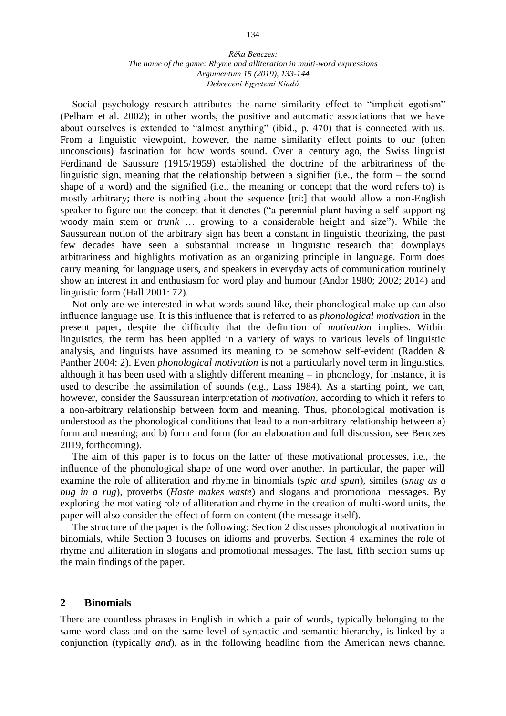Social psychology research attributes the name similarity effect to "implicit egotism" (Pelham et al. 2002); in other words, the positive and automatic associations that we have about ourselves is extended to "almost anything" (ibid., p. 470) that is connected with us. From a linguistic viewpoint, however, the name similarity effect points to our (often unconscious) fascination for how words sound. Over a century ago, the Swiss linguist Ferdinand de Saussure (1915/1959) established the doctrine of the arbitrariness of the linguistic sign, meaning that the relationship between a signifier (i.e., the form – the sound shape of a word) and the signified (i.e., the meaning or concept that the word refers to) is mostly arbitrary; there is nothing about the sequence [tri:] that would allow a non-English speaker to figure out the concept that it denotes ("a perennial plant having a self-supporting woody main stem or *trunk* … growing to a considerable height and size"). While the Saussurean notion of the arbitrary sign has been a constant in linguistic theorizing, the past few decades have seen a substantial increase in linguistic research that downplays arbitrariness and highlights motivation as an organizing principle in language. Form does carry meaning for language users, and speakers in everyday acts of communication routinely show an interest in and enthusiasm for word play and humour (Andor 1980; 2002; 2014) and linguistic form (Hall 2001: 72).

Not only are we interested in what words sound like, their phonological make-up can also influence language use. It is this influence that is referred to as *phonological motivation* in the present paper, despite the difficulty that the definition of *motivation* implies. Within linguistics, the term has been applied in a variety of ways to various levels of linguistic analysis, and linguists have assumed its meaning to be somehow self-evident (Radden & Panther 2004: 2). Even *phonological motivation* is not a particularly novel term in linguistics, although it has been used with a slightly different meaning – in phonology, for instance, it is used to describe the assimilation of sounds (e.g., Lass 1984). As a starting point, we can, however, consider the Saussurean interpretation of *motivation*, according to which it refers to a non-arbitrary relationship between form and meaning. Thus, phonological motivation is understood as the phonological conditions that lead to a non-arbitrary relationship between a) form and meaning; and b) form and form (for an elaboration and full discussion, see Benczes 2019, forthcoming).

The aim of this paper is to focus on the latter of these motivational processes, i.e., the influence of the phonological shape of one word over another. In particular, the paper will examine the role of alliteration and rhyme in binomials (*spic and span*), similes (*snug as a bug in a rug*), proverbs (*Haste makes waste*) and slogans and promotional messages. By exploring the motivating role of alliteration and rhyme in the creation of multi-word units, the paper will also consider the effect of form on content (the message itself).

The structure of the paper is the following: Section 2 discusses phonological motivation in binomials, while Section 3 focuses on idioms and proverbs. Section 4 examines the role of rhyme and alliteration in slogans and promotional messages. The last, fifth section sums up the main findings of the paper.

# **2 Binomials**

There are countless phrases in English in which a pair of words, typically belonging to the same word class and on the same level of syntactic and semantic hierarchy, is linked by a conjunction (typically *and*), as in the following headline from the American news channel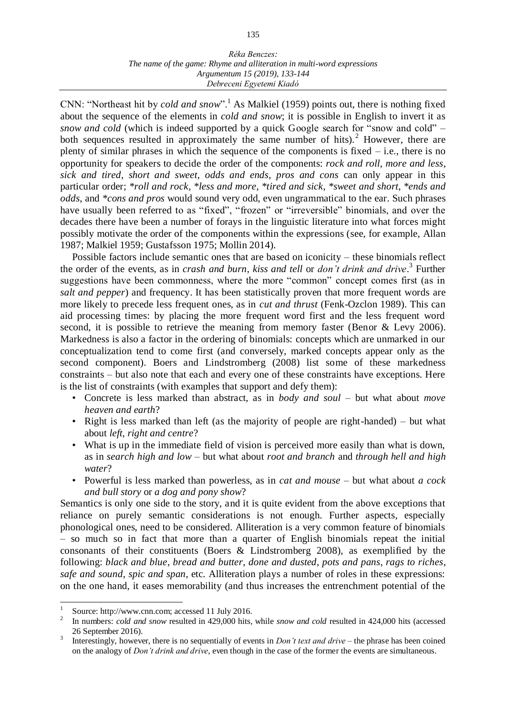CNN: "Northeast hit by *cold and snow*".<sup>1</sup> As Malkiel (1959) points out, there is nothing fixed about the sequence of the elements in *cold and snow*; it is possible in English to invert it as *snow and cold* (which is indeed supported by a quick Google search for "snow and cold" – both sequences resulted in approximately the same number of hits).<sup>2</sup> However, there are plenty of similar phrases in which the sequence of the components is fixed  $-$  i.e., there is no opportunity for speakers to decide the order of the components: *rock and roll*, *more and less*, *sick and tired*, *short and sweet*, *odds and ends*, *pros and cons* can only appear in this particular order; *\*roll and rock*, *\*less and more*, \**tired and sick*, *\*sweet and short*, \**ends and odds*, and *\*cons and pros* would sound very odd, even ungrammatical to the ear. Such phrases have usually been referred to as "fixed", "frozen" or "irreversible" binomials, and over the decades there have been a number of forays in the linguistic literature into what forces might possibly motivate the order of the components within the expressions (see, for example, Allan 1987; Malkiel 1959; Gustafsson 1975; Mollin 2014).

Possible factors include semantic ones that are based on iconicity – these binomials reflect the order of the events, as in *crash and burn*, *kiss and tell* or *don't drink and drive*. 3 Further suggestions have been commonness, where the more "common" concept comes first (as in *salt and pepper*) and frequency. It has been statistically proven that more frequent words are more likely to precede less frequent ones, as in *cut and thrust* (Fenk-Ozclon 1989). This can aid processing times: by placing the more frequent word first and the less frequent word second, it is possible to retrieve the meaning from memory faster (Benor & Levy 2006). Markedness is also a factor in the ordering of binomials: concepts which are unmarked in our conceptualization tend to come first (and conversely, marked concepts appear only as the second component). Boers and Lindstromberg (2008) list some of these markedness constraints – but also note that each and every one of these constraints have exceptions. Here is the list of constraints (with examples that support and defy them):

- Concrete is less marked than abstract, as in *body and soul* but what about *move heaven and earth*?
- Right is less marked than left (as the majority of people are right-handed) but what about *left, right and centre*?
- What is up in the immediate field of vision is perceived more easily than what is down, as in *search high and low* – but what about *root and branch* and *through hell and high water*?
- Powerful is less marked than powerless, as in *cat and mouse* but what about *a cock and bull story* or *a dog and pony show*?

Semantics is only one side to the story, and it is quite evident from the above exceptions that reliance on purely semantic considerations is not enough. Further aspects, especially phonological ones, need to be considered. Alliteration is a very common feature of binomials – so much so in fact that more than a quarter of English binomials repeat the initial consonants of their constituents (Boers & Lindstromberg 2008), as exemplified by the following: *black and blue*, *bread and butter*, *done and dusted*, *pots and pans*, *rags to riches*, *safe and sound*, *spic and span*, etc. Alliteration plays a number of roles in these expressions: on the one hand, it eases memorability (and thus increases the entrenchment potential of the

<sup>1</sup> Source: http://www.cnn.com; accessed 11 July 2016.

<sup>2</sup> In numbers: *cold and snow* resulted in 429,000 hits, while *snow and cold* resulted in 424,000 hits (accessed 26 September 2016).

<sup>3</sup> Interestingly, however, there is no sequentially of events in *Don't text and drive* – the phrase has been coined on the analogy of *Don't drink and drive*, even though in the case of the former the events are simultaneous.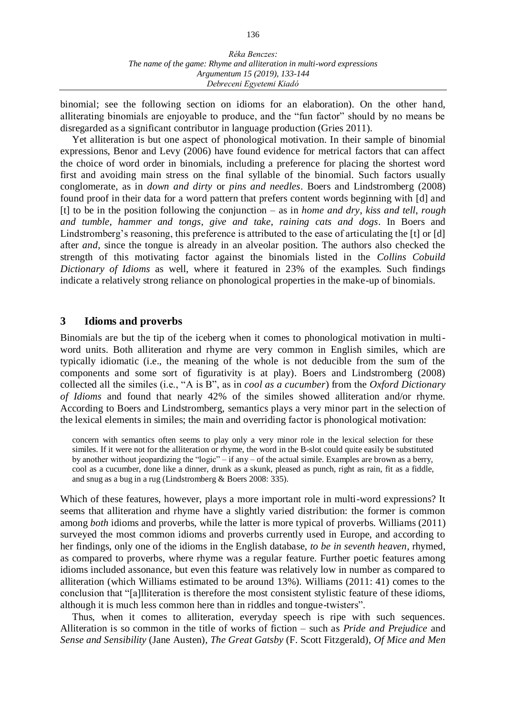binomial; see the following section on idioms for an elaboration). On the other hand, alliterating binomials are enjoyable to produce, and the "fun factor" should by no means be disregarded as a significant contributor in language production (Gries 2011).

Yet alliteration is but one aspect of phonological motivation. In their sample of binomial expressions, Benor and Levy (2006) have found evidence for metrical factors that can affect the choice of word order in binomials, including a preference for placing the shortest word first and avoiding main stress on the final syllable of the binomial. Such factors usually conglomerate, as in *down and dirty* or *pins and needles*. Boers and Lindstromberg (2008) found proof in their data for a word pattern that prefers content words beginning with [d] and [t] to be in the position following the conjunction – as in *home and dry*, *kiss and tell*, *rough and tumble*, *hammer and tongs*, *give and take*, *raining cats and dogs*. In Boers and Lindstromberg's reasoning, this preference is attributed to the ease of articulating the [t] or [d] after *and*, since the tongue is already in an alveolar position. The authors also checked the strength of this motivating factor against the binomials listed in the *Collins Cobuild Dictionary of Idioms* as well, where it featured in 23% of the examples. Such findings indicate a relatively strong reliance on phonological properties in the make-up of binomials.

### **3 Idioms and proverbs**

Binomials are but the tip of the iceberg when it comes to phonological motivation in multiword units. Both alliteration and rhyme are very common in English similes, which are typically idiomatic (i.e., the meaning of the whole is not deducible from the sum of the components and some sort of figurativity is at play). Boers and Lindstromberg (2008) collected all the similes (i.e., "A is B", as in *cool as a cucumber*) from the *Oxford Dictionary of Idioms* and found that nearly 42% of the similes showed alliteration and/or rhyme. According to Boers and Lindstromberg, semantics plays a very minor part in the selection of the lexical elements in similes; the main and overriding factor is phonological motivation:

concern with semantics often seems to play only a very minor role in the lexical selection for these similes. If it were not for the alliteration or rhyme, the word in the B-slot could quite easily be substituted by another without jeopardizing the "logic"  $-$  if any  $-$  of the actual simile. Examples are brown as a berry, cool as a cucumber, done like a dinner, drunk as a skunk, pleased as punch, right as rain, fit as a fiddle, and snug as a bug in a rug (Lindstromberg & Boers 2008: 335).

Which of these features, however, plays a more important role in multi-word expressions? It seems that alliteration and rhyme have a slightly varied distribution: the former is common among *both* idioms and proverbs, while the latter is more typical of proverbs. Williams (2011) surveyed the most common idioms and proverbs currently used in Europe, and according to her findings, only one of the idioms in the English database, *to be in seventh heaven*, rhymed, as compared to proverbs, where rhyme was a regular feature. Further poetic features among idioms included assonance, but even this feature was relatively low in number as compared to alliteration (which Williams estimated to be around 13%). Williams (2011: 41) comes to the conclusion that "[a]lliteration is therefore the most consistent stylistic feature of these idioms, although it is much less common here than in riddles and tongue-twisters".

Thus, when it comes to alliteration, everyday speech is ripe with such sequences. Alliteration is so common in the title of works of fiction – such as *Pride and Prejudice* and *Sense and Sensibility* (Jane Austen), *The Great Gatsby* (F. Scott Fitzgerald), *Of Mice and Men*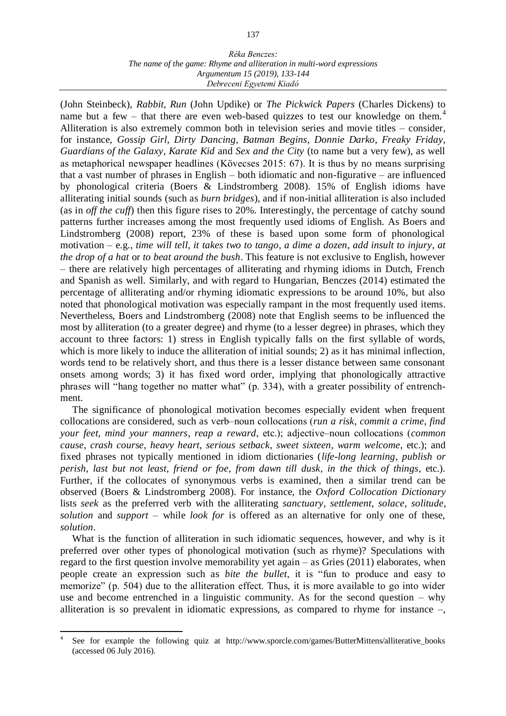(John Steinbeck), *Rabbit, Run* (John Updike) or *The Pickwick Papers* (Charles Dickens) to name but a few – that there are even web-based quizzes to test our knowledge on them.<sup>4</sup> Alliteration is also extremely common both in television series and movie titles – consider, for instance, *Gossip Girl*, *Dirty Dancing*, *Batman Begins*, *Donnie Darko*, *Freaky Friday*, *Guardians of the Galaxy*, *Karate Kid* and *Sex and the City* (to name but a very few), as well as metaphorical newspaper headlines (Kövecses 2015: 67). It is thus by no means surprising that a vast number of phrases in English – both idiomatic and non-figurative – are influenced by phonological criteria (Boers & Lindstromberg 2008). 15% of English idioms have alliterating initial sounds (such as *burn bridges*), and if non-initial alliteration is also included (as in *off the cuff*) then this figure rises to 20%. Interestingly, the percentage of catchy sound patterns further increases among the most frequently used idioms of English. As Boers and Lindstromberg (2008) report, 23% of these is based upon some form of phonological motivation – e.g., *time will tell*, *it takes two to tango*, *a dime a dozen*, *add insult to injury*, *at the drop of a hat* or *to beat around the bush*. This feature is not exclusive to English, however – there are relatively high percentages of alliterating and rhyming idioms in Dutch, French and Spanish as well. Similarly, and with regard to Hungarian, Benczes (2014) estimated the percentage of alliterating and/or rhyming idiomatic expressions to be around 10%, but also noted that phonological motivation was especially rampant in the most frequently used items. Nevertheless, Boers and Lindstromberg (2008) note that English seems to be influenced the most by alliteration (to a greater degree) and rhyme (to a lesser degree) in phrases, which they account to three factors: 1) stress in English typically falls on the first syllable of words, which is more likely to induce the alliteration of initial sounds; 2) as it has minimal inflection, words tend to be relatively short, and thus there is a lesser distance between same consonant onsets among words; 3) it has fixed word order, implying that phonologically attractive phrases will "hang together no matter what" (p. 334), with a greater possibility of entrenchment.

The significance of phonological motivation becomes especially evident when frequent collocations are considered, such as verb‒noun collocations (*run a risk*, *commit a crime*, *find your feet, mind your manners, reap a reward, etc.); adjective-noun collocations (<i>common*) *cause*, *crash course*, *heavy heart*, *serious setback*, *sweet sixteen*, *warm welcome*, etc.); and fixed phrases not typically mentioned in idiom dictionaries (*life-long learning*, *publish or perish*, *last but not least*, *friend or foe*, *from dawn till dusk*, *in the thick of things*, etc.). Further, if the collocates of synonymous verbs is examined, then a similar trend can be observed (Boers & Lindstromberg 2008). For instance, the *Oxford Collocation Dictionary*  lists *seek* as the preferred verb with the alliterating *sanctuary*, *settlement*, *solace*, *solitude*, *solution* and *support* – while *look for* is offered as an alternative for only one of these, *solution*.

What is the function of alliteration in such idiomatic sequences, however, and why is it preferred over other types of phonological motivation (such as rhyme)? Speculations with regard to the first question involve memorability yet again – as Gries (2011) elaborates, when people create an expression such as *bite the bullet*, it is "fun to produce and easy to memorize" (p. 504) due to the alliteration effect. Thus, it is more available to go into wider use and become entrenched in a linguistic community. As for the second question – why alliteration is so prevalent in idiomatic expressions, as compared to rhyme for instance –,

 $\overline{a}$ 4 See for example the following quiz at http://www.sporcle.com/games/ButterMittens/alliterative\_books (accessed 06 July 2016).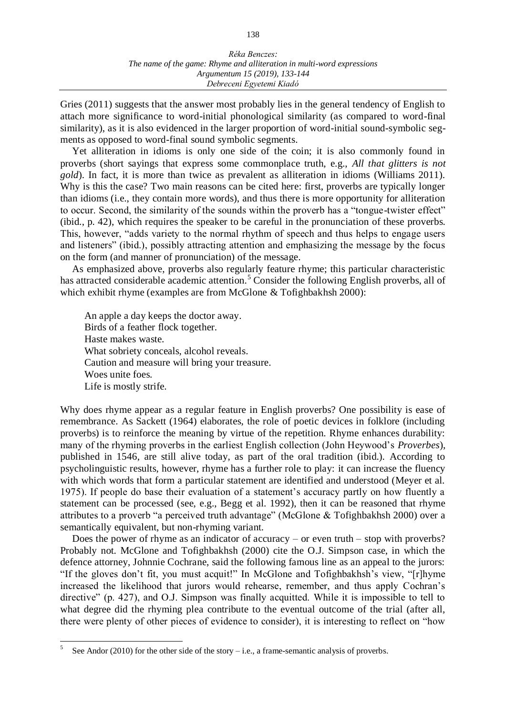Gries (2011) suggests that the answer most probably lies in the general tendency of English to attach more significance to word-initial phonological similarity (as compared to word-final similarity), as it is also evidenced in the larger proportion of word-initial sound-symbolic segments as opposed to word-final sound symbolic segments.

Yet alliteration in idioms is only one side of the coin; it is also commonly found in proverbs (short sayings that express some commonplace truth, e.g., *All that glitters is not gold*). In fact, it is more than twice as prevalent as alliteration in idioms (Williams 2011). Why is this the case? Two main reasons can be cited here: first, proverbs are typically longer than idioms (i.e., they contain more words), and thus there is more opportunity for alliteration to occur. Second, the similarity of the sounds within the proverb has a "tongue-twister effect" (ibid., p. 42), which requires the speaker to be careful in the pronunciation of these proverbs. This, however, "adds variety to the normal rhythm of speech and thus helps to engage users and listeners" (ibid.), possibly attracting attention and emphasizing the message by the focus on the form (and manner of pronunciation) of the message.

As emphasized above, proverbs also regularly feature rhyme; this particular characteristic has attracted considerable academic attention.<sup>5</sup> Consider the following English proverbs, all of which exhibit rhyme (examples are from McGlone & Tofighbakhsh 2000):

An apple a day keeps the doctor away. Birds of a feather flock together. Haste makes waste. What sobriety conceals, alcohol reveals. Caution and measure will bring your treasure. Woes unite foes. Life is mostly strife.

Why does rhyme appear as a regular feature in English proverbs? One possibility is ease of remembrance. As Sackett (1964) elaborates, the role of poetic devices in folklore (including proverbs) is to reinforce the meaning by virtue of the repetition. Rhyme enhances durability: many of the rhyming proverbs in the earliest English collection (John Heywood's *Proverbes*), published in 1546, are still alive today, as part of the oral tradition (ibid.). According to psycholinguistic results, however, rhyme has a further role to play: it can increase the fluency with which words that form a particular statement are identified and understood (Meyer et al. 1975). If people do base their evaluation of a statement's accuracy partly on how fluently a statement can be processed (see, e.g., Begg et al. 1992), then it can be reasoned that rhyme attributes to a proverb "a perceived truth advantage" (McGlone & Tofighbakhsh 2000) over a semantically equivalent, but non-rhyming variant.

Does the power of rhyme as an indicator of accuracy – or even truth – stop with proverbs? Probably not. McGlone and Tofighbakhsh (2000) cite the O.J. Simpson case, in which the defence attorney, Johnnie Cochrane, said the following famous line as an appeal to the jurors: "If the gloves don't fit, you must acquit!" In McGlone and Tofighbakhsh's view, "[r]hyme increased the likelihood that jurors would rehearse, remember, and thus apply Cochran's directive" (p. 427), and O.J. Simpson was finally acquitted. While it is impossible to tell to what degree did the rhyming plea contribute to the eventual outcome of the trial (after all, there were plenty of other pieces of evidence to consider), it is interesting to reflect on "how

<sup>5</sup> See Andor (2010) for the other side of the story – i.e., a frame-semantic analysis of proverbs.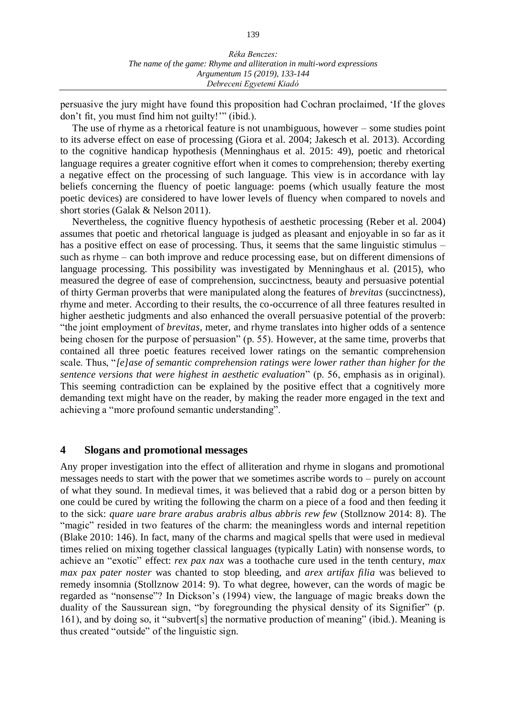persuasive the jury might have found this proposition had Cochran proclaimed, 'If the gloves don't fit, you must find him not guilty!'" (ibid.).

The use of rhyme as a rhetorical feature is not unambiguous, however – some studies point to its adverse effect on ease of processing (Giora et al. 2004; Jakesch et al. 2013). According to the cognitive handicap hypothesis (Menninghaus et al. 2015: 49), poetic and rhetorical language requires a greater cognitive effort when it comes to comprehension; thereby exerting a negative effect on the processing of such language. This view is in accordance with lay beliefs concerning the fluency of poetic language: poems (which usually feature the most poetic devices) are considered to have lower levels of fluency when compared to novels and short stories (Galak & Nelson 2011).

Nevertheless, the cognitive fluency hypothesis of aesthetic processing (Reber et al. 2004) assumes that poetic and rhetorical language is judged as pleasant and enjoyable in so far as it has a positive effect on ease of processing. Thus, it seems that the same linguistic stimulus – such as rhyme – can both improve and reduce processing ease, but on different dimensions of language processing. This possibility was investigated by Menninghaus et al. (2015), who measured the degree of ease of comprehension, succinctness, beauty and persuasive potential of thirty German proverbs that were manipulated along the features of *brevitas* (succinctness), rhyme and meter. According to their results, the co-occurrence of all three features resulted in higher aesthetic judgments and also enhanced the overall persuasive potential of the proverb: "the joint employment of *brevitas*, meter, and rhyme translates into higher odds of a sentence being chosen for the purpose of persuasion" (p. 55). However, at the same time, proverbs that contained all three poetic features received lower ratings on the semantic comprehension scale. Thus, "*[e]ase of semantic comprehension ratings were lower rather than higher for the sentence versions that were highest in aesthetic evaluation*" (p. 56, emphasis as in original). This seeming contradiction can be explained by the positive effect that a cognitively more demanding text might have on the reader, by making the reader more engaged in the text and achieving a "more profound semantic understanding".

### **4 Slogans and promotional messages**

Any proper investigation into the effect of alliteration and rhyme in slogans and promotional messages needs to start with the power that we sometimes ascribe words to – purely on account of what they sound. In medieval times, it was believed that a rabid dog or a person bitten by one could be cured by writing the following the charm on a piece of a food and then feeding it to the sick: *quare uare brare arabus arabris albus abbris rew few* (Stollznow 2014: 8). The "magic" resided in two features of the charm: the meaningless words and internal repetition (Blake 2010: 146). In fact, many of the charms and magical spells that were used in medieval times relied on mixing together classical languages (typically Latin) with nonsense words, to achieve an "exotic" effect: *rex pax nax* was a toothache cure used in the tenth century, *max max pax pater noster* was chanted to stop bleeding, and *arex artifax filia* was believed to remedy insomnia (Stollznow 2014: 9). To what degree, however, can the words of magic be regarded as "nonsense"? In Dickson's (1994) view, the language of magic breaks down the duality of the Saussurean sign, "by foregrounding the physical density of its Signifier" (p. 161), and by doing so, it "subvert[s] the normative production of meaning" (ibid.). Meaning is thus created "outside" of the linguistic sign.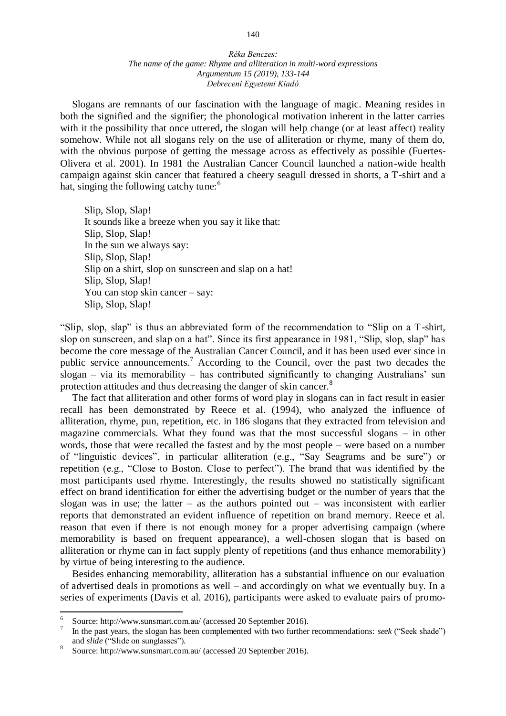Slogans are remnants of our fascination with the language of magic. Meaning resides in both the signified and the signifier; the phonological motivation inherent in the latter carries with it the possibility that once uttered, the slogan will help change (or at least affect) reality somehow. While not all slogans rely on the use of alliteration or rhyme, many of them do, with the obvious purpose of getting the message across as effectively as possible (Fuertes-Olivera et al. 2001). In 1981 the Australian Cancer Council launched a nation-wide health campaign against skin cancer that featured a cheery seagull dressed in shorts, a T-shirt and a hat, singing the following catchy tune:<sup>6</sup>

Slip, Slop, Slap! It sounds like a breeze when you say it like that: Slip, Slop, Slap! In the sun we always say: Slip, Slop, Slap! Slip on a shirt, slop on sunscreen and slap on a hat! Slip, Slop, Slap! You can stop skin cancer – say: Slip, Slop, Slap!

"Slip, slop, slap" is thus an abbreviated form of the recommendation to "Slip on a T-shirt, slop on sunscreen, and slap on a hat". Since its first appearance in 1981, "Slip, slop, slap" has become the core message of the Australian Cancer Council, and it has been used ever since in public service announcements.<sup>7</sup> According to the Council, over the past two decades the slogan – via its memorability – has contributed significantly to changing Australians' sun protection attitudes and thus decreasing the danger of skin cancer.<sup>8</sup>

The fact that alliteration and other forms of word play in slogans can in fact result in easier recall has been demonstrated by Reece et al. (1994), who analyzed the influence of alliteration, rhyme, pun, repetition, etc. in 186 slogans that they extracted from television and magazine commercials. What they found was that the most successful slogans – in other words, those that were recalled the fastest and by the most people – were based on a number of "linguistic devices", in particular alliteration (e.g., "Say Seagrams and be sure") or repetition (e.g., "Close to Boston. Close to perfect"). The brand that was identified by the most participants used rhyme. Interestingly, the results showed no statistically significant effect on brand identification for either the advertising budget or the number of years that the slogan was in use; the latter – as the authors pointed out – was inconsistent with earlier reports that demonstrated an evident influence of repetition on brand memory. Reece et al. reason that even if there is not enough money for a proper advertising campaign (where memorability is based on frequent appearance), a well-chosen slogan that is based on alliteration or rhyme can in fact supply plenty of repetitions (and thus enhance memorability) by virtue of being interesting to the audience.

Besides enhancing memorability, alliteration has a substantial influence on our evaluation of advertised deals in promotions as well – and accordingly on what we eventually buy. In a series of experiments (Davis et al. 2016), participants were asked to evaluate pairs of promo-

 6 Source: http://www.sunsmart.com.au/ (accessed 20 September 2016).

<sup>7</sup> In the past years, the slogan has been complemented with two further recommendations: *seek* ("Seek shade") and *slide* ("Slide on sunglasses")*.*

<sup>8</sup> Source: http://www.sunsmart.com.au/ (accessed 20 September 2016).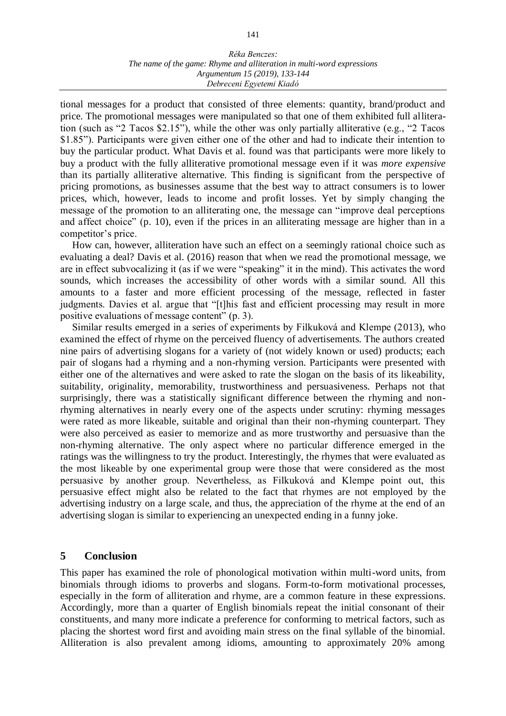tional messages for a product that consisted of three elements: quantity, brand/product and price. The promotional messages were manipulated so that one of them exhibited full alliteration (such as "2 Tacos \$2.15"), while the other was only partially alliterative (e.g., "2 Tacos \$1.85"). Participants were given either one of the other and had to indicate their intention to buy the particular product. What Davis et al. found was that participants were more likely to buy a product with the fully alliterative promotional message even if it was *more expensive* than its partially alliterative alternative. This finding is significant from the perspective of pricing promotions, as businesses assume that the best way to attract consumers is to lower prices, which, however, leads to income and profit losses. Yet by simply changing the message of the promotion to an alliterating one, the message can "improve deal perceptions and affect choice" (p. 10), even if the prices in an alliterating message are higher than in a competitor's price.

How can, however, alliteration have such an effect on a seemingly rational choice such as evaluating a deal? Davis et al. (2016) reason that when we read the promotional message, we are in effect subvocalizing it (as if we were "speaking" it in the mind). This activates the word sounds, which increases the accessibility of other words with a similar sound. All this amounts to a faster and more efficient processing of the message, reflected in faster judgments. Davies et al. argue that "[t]his fast and efficient processing may result in more positive evaluations of message content" (p. 3).

Similar results emerged in a series of experiments by Filkuková and Klempe (2013), who examined the effect of rhyme on the perceived fluency of advertisements. The authors created nine pairs of advertising slogans for a variety of (not widely known or used) products; each pair of slogans had a rhyming and a non-rhyming version. Participants were presented with either one of the alternatives and were asked to rate the slogan on the basis of its likeability, suitability, originality, memorability, trustworthiness and persuasiveness. Perhaps not that surprisingly, there was a statistically significant difference between the rhyming and nonrhyming alternatives in nearly every one of the aspects under scrutiny: rhyming messages were rated as more likeable, suitable and original than their non-rhyming counterpart. They were also perceived as easier to memorize and as more trustworthy and persuasive than the non-rhyming alternative. The only aspect where no particular difference emerged in the ratings was the willingness to try the product. Interestingly, the rhymes that were evaluated as the most likeable by one experimental group were those that were considered as the most persuasive by another group. Nevertheless, as Filkuková and Klempe point out, this persuasive effect might also be related to the fact that rhymes are not employed by the advertising industry on a large scale, and thus, the appreciation of the rhyme at the end of an advertising slogan is similar to experiencing an unexpected ending in a funny joke.

# **5 Conclusion**

This paper has examined the role of phonological motivation within multi-word units, from binomials through idioms to proverbs and slogans. Form-to-form motivational processes, especially in the form of alliteration and rhyme, are a common feature in these expressions. Accordingly, more than a quarter of English binomials repeat the initial consonant of their constituents, and many more indicate a preference for conforming to metrical factors, such as placing the shortest word first and avoiding main stress on the final syllable of the binomial. Alliteration is also prevalent among idioms, amounting to approximately 20% among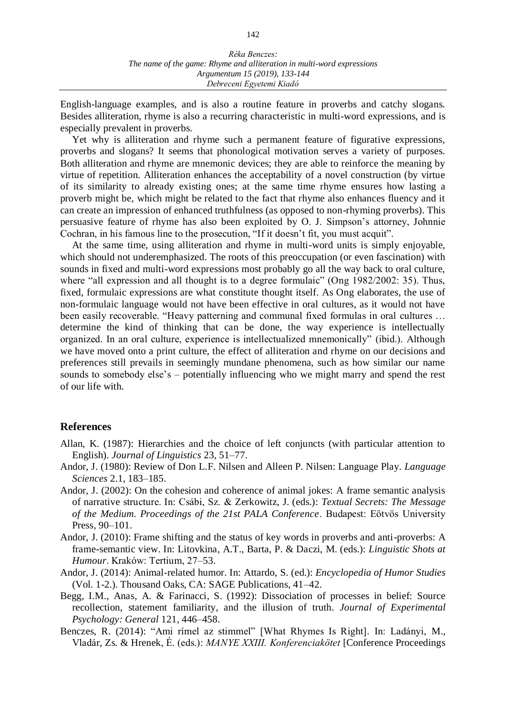English-language examples, and is also a routine feature in proverbs and catchy slogans. Besides alliteration, rhyme is also a recurring characteristic in multi-word expressions, and is especially prevalent in proverbs.

Yet why is alliteration and rhyme such a permanent feature of figurative expressions, proverbs and slogans? It seems that phonological motivation serves a variety of purposes. Both alliteration and rhyme are mnemonic devices; they are able to reinforce the meaning by virtue of repetition. Alliteration enhances the acceptability of a novel construction (by virtue of its similarity to already existing ones; at the same time rhyme ensures how lasting a proverb might be, which might be related to the fact that rhyme also enhances fluency and it can create an impression of enhanced truthfulness (as opposed to non-rhyming proverbs). This persuasive feature of rhyme has also been exploited by O. J. Simpson's attorney, Johnnie Cochran, in his famous line to the prosecution, "If it doesn't fit, you must acquit".

At the same time, using alliteration and rhyme in multi-word units is simply enjoyable, which should not underemphasized. The roots of this preoccupation (or even fascination) with sounds in fixed and multi-word expressions most probably go all the way back to oral culture, where "all expression and all thought is to a degree formulaic" (Ong 1982/2002: 35). Thus, fixed, formulaic expressions are what constitute thought itself. As Ong elaborates, the use of non-formulaic language would not have been effective in oral cultures, as it would not have been easily recoverable. "Heavy patterning and communal fixed formulas in oral cultures … determine the kind of thinking that can be done, the way experience is intellectually organized. In an oral culture, experience is intellectualized mnemonically" (ibid.). Although we have moved onto a print culture, the effect of alliteration and rhyme on our decisions and preferences still prevails in seemingly mundane phenomena, such as how similar our name sounds to somebody else's – potentially influencing who we might marry and spend the rest of our life with.

### **References**

- Allan, K. (1987): Hierarchies and the choice of left conjuncts (with particular attention to English). *Journal of Linguistics* 23, 51–77.
- Andor, J. (1980): Review of Don L.F. Nilsen and Alleen P. Nilsen: Language Play. *Language Sciences* 2.1, 183–185.
- Andor, J. (2002): On the cohesion and coherence of animal jokes: A frame semantic analysis of narrative structure. In: Csábi, Sz. & Zerkowitz, J. (eds.): *Textual Secrets: The Message of the Medium. Proceedings of the 21st PALA Conference*. Budapest: Eötvös University Press, 90–101.
- Andor, J. (2010): Frame shifting and the status of key words in proverbs and anti-proverbs: A frame-semantic view. In: Litovkina, A.T., Barta, P. & Daczi, M. (eds.): *Linguistic Shots at Humour*. Kraków: Tertium, 27–53.
- Andor, J. (2014): Animal-related humor. In: Attardo, S. (ed.): *Encyclopedia of Humor Studies* (Vol. 1-2.). Thousand Oaks, CA: SAGE Publications, 41–42.
- Begg, I.M., Anas, A. & Farinacci, S. (1992): Dissociation of processes in belief: Source recollection, statement familiarity, and the illusion of truth. *Journal of Experimental Psychology: General* 121, 446–458.
- Benczes, R. (2014): "Ami rímel az stimmel" [What Rhymes Is Right]. In: Ladányi, M., Vladár, Zs. & Hrenek, É. (eds.): *MANYE XXIII. Konferenciakötet* [Conference Proceedings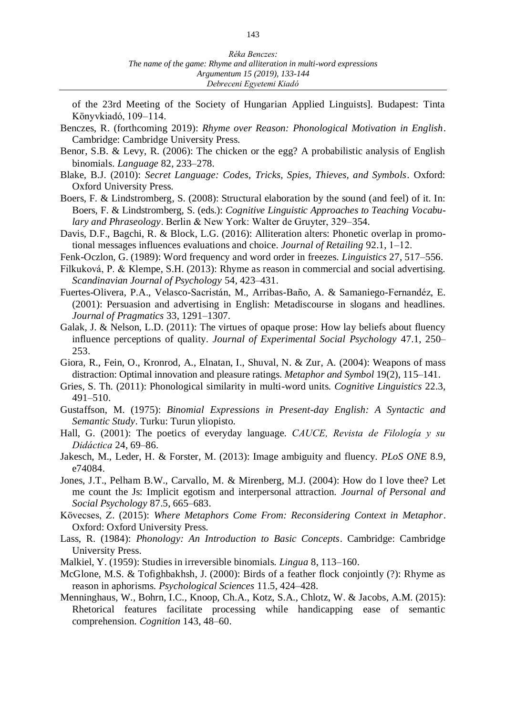of the 23rd Meeting of the Society of Hungarian Applied Linguists]. Budapest: Tinta Könyvkiadó, 109–114.

- Benczes, R. (forthcoming 2019): *Rhyme over Reason: Phonological Motivation in English*. Cambridge: Cambridge University Press.
- Benor, S.B. & Levy, R. (2006): The chicken or the egg? A probabilistic analysis of English binomials. *Language* 82, 233–278.
- Blake, B.J. (2010): *Secret Language: Codes, Tricks, Spies, Thieves, and Symbols*. Oxford: Oxford University Press.
- Boers, F. & Lindstromberg, S. (2008): Structural elaboration by the sound (and feel) of it. In: Boers, F. & Lindstromberg, S. (eds.): *Cognitive Linguistic Approaches to Teaching Vocabu*lary and Phraseology. Berlin & New York: Walter de Gruyter, 329–354.
- Davis, D.F., Bagchi, R. & Block, L.G. (2016): Alliteration alters: Phonetic overlap in promotional messages influences evaluations and choice. *Journal of Retailing* 92.1, 1–12.
- Fenk-Oczlon, G. (1989): Word frequency and word order in freezes. *Linguistics* 27, 517–556.
- Filkuková, P. & Klempe, S.H. (2013): Rhyme as reason in commercial and social advertising. *Scandinavian Journal of Psychology* 54, 423–431.
- Fuertes-Olivera, P.A., Velasco-Sacristán, M., Arribas-Baño, A. & Samaniego-Fernandéz, E. (2001): Persuasion and advertising in English: Metadiscourse in slogans and headlines. *Journal of Pragmatics* 33, 1291–1307.
- Galak, J. & Nelson, L.D. (2011): The virtues of opaque prose: How lay beliefs about fluency influence perceptions of quality. *Journal of Experimental Social Psychology* 47.1, 250– 253.
- Giora, R., Fein, O., Kronrod, A., Elnatan, I., Shuval, N. & Zur, A. (2004): Weapons of mass distraction: Optimal innovation and pleasure ratings. *Metaphor and Symbol* 19(2), 115–141.
- Gries, S. Th. (2011): Phonological similarity in multi-word units. *Cognitive Linguistics* 22.3, 491–510.
- Gustaffson, M. (1975): *Binomial Expressions in Present-day English: A Syntactic and Semantic Study*. Turku: Turun yliopisto.
- Hall, G. (2001): The poetics of everyday language. *CAUCE, Revista de Filología y su Didáctica* 24, 69–86.
- Jakesch, M., Leder, H. & Forster, M. (2013): Image ambiguity and fluency. *PLoS ONE* 8.9, e74084.
- Jones, J.T., Pelham B.W., Carvallo, M. & Mirenberg, M.J. (2004): How do I love thee? Let me count the Js: Implicit egotism and interpersonal attraction. *Journal of Personal and Social Psychology* 87.5, 665–683.
- Kövecses, Z. (2015): *Where Metaphors Come From: Reconsidering Context in Metaphor*. Oxford: Oxford University Press.
- Lass, R. (1984): *Phonology: An Introduction to Basic Concepts*. Cambridge: Cambridge University Press.
- Malkiel, Y. (1959): Studies in irreversible binomials. *Lingua* 8, 113–160.
- McGlone, M.S. & Tofighbakhsh, J. (2000): Birds of a feather flock conjointly (?): Rhyme as reason in aphorisms. *Psychological Sciences* 11.5, 424–428.
- Menninghaus, W., Bohrn, I.C., Knoop, Ch.A., Kotz, S.A., Chlotz, W. & Jacobs, A.M. (2015): Rhetorical features facilitate processing while handicapping ease of semantic comprehension. *Cognition* 143, 48–60.